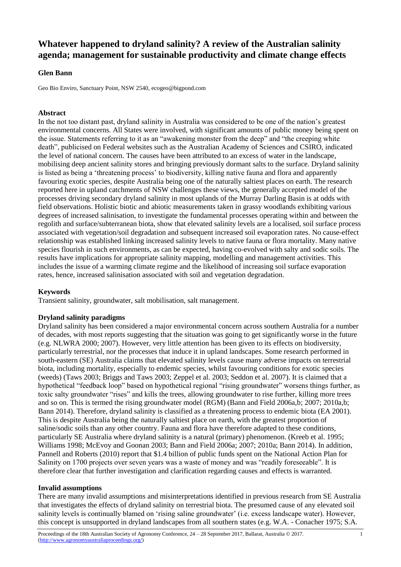# **Whatever happened to dryland salinity? A review of the Australian salinity agenda; management for sustainable productivity and climate change effects**

## **Glen Bann**

Geo Bio Enviro, Sanctuary Point, NSW 2540, ecogeo@bigpond.com

## **Abstract**

In the not too distant past, dryland salinity in Australia was considered to be one of the nation's greatest environmental concerns. All States were involved, with significant amounts of public money being spent on the issue. Statements referring to it as an "awakening monster from the deep" and "the creeping white death", publicised on Federal websites such as the Australian Academy of Sciences and CSIRO, indicated the level of national concern. The causes have been attributed to an excess of water in the landscape, mobilising deep ancient salinity stores and bringing previously dormant salts to the surface. Dryland salinity is listed as being a 'threatening process' to biodiversity, killing native fauna and flora and apparently favouring exotic species, despite Australia being one of the naturally saltiest places on earth. The research reported here in upland catchments of NSW challenges these views, the generally accepted model of the processes driving secondary dryland salinity in most uplands of the Murray Darling Basin is at odds with field observations. Holistic biotic and abiotic measurements taken in grassy woodlands exhibiting various degrees of increased salinisation, to investigate the fundamental processes operating within and between the regolith and surface/subterranean biota, show that elevated salinity levels are a localised, soil surface process associated with vegetation/soil degradation and subsequent increased soil evaporation rates. No cause-effect relationship was established linking increased salinity levels to native fauna or flora mortality. Many native species flourish in such environments, as can be expected, having co-evolved with salty and sodic soils. The results have implications for appropriate salinity mapping, modelling and management activities. This includes the issue of a warming climate regime and the likelihood of increasing soil surface evaporation rates, hence, increased salinisation associated with soil and vegetation degradation.

# **Keywords**

Transient salinity, groundwater, salt mobilisation, salt management.

#### **Dryland salinity paradigms**

Dryland salinity has been considered a major environmental concern across southern Australia for a number of decades, with most reports suggesting that the situation was going to get significantly worse in the future (e.g. NLWRA 2000; 2007). However, very little attention has been given to its effects on biodiversity, particularly terrestrial, nor the processes that induce it in upland landscapes. Some research performed in south-eastern (SE) Australia claims that elevated salinity levels cause many adverse impacts on terrestrial biota, including mortality, especially to endemic species, whilst favouring conditions for exotic species (weeds) (Taws 2003; Briggs and Taws 2003; Zeppel et al. 2003; Seddon et al. 2007). It is claimed that a hypothetical "feedback loop" based on hypothetical regional "rising groundwater" worsens things further, as toxic salty groundwater "rises" and kills the trees, allowing groundwater to rise further, killing more trees and so on. This is termed the rising groundwater model (RGM) (Bann and Field 2006a,b; 2007; 2010a,b; Bann 2014). Therefore, dryland salinity is classified as a threatening process to endemic biota (EA 2001). This is despite Australia being the naturally saltiest place on earth, with the greatest proportion of saline/sodic soils than any other country. Fauna and flora have therefore adapted to these conditions, particularly SE Australia where dryland salinity is a natural (primary) phenomenon. (Kreeb et al. 1995; Williams 1998; McEvoy and Goonan 2003; Bann and Field 2006a; 2007; 2010a; Bann 2014). In addition, Pannell and Roberts (2010) report that \$1.4 billion of public funds spent on the National Action Plan for Salinity on 1700 projects over seven years was a waste of money and was "readily foreseeable". It is therefore clear that further investigation and clarification regarding causes and effects is warranted.

#### **Invalid assumptions**

There are many invalid assumptions and misinterpretations identified in previous research from SE Australia that investigates the effects of dryland salinity on terrestrial biota. The presumed cause of any elevated soil salinity levels is continually blamed on 'rising saline groundwater' (i.e. excess landscape water). However, this concept is unsupported in dryland landscapes from all southern states (e.g. W.A. - Conacher 1975; S.A.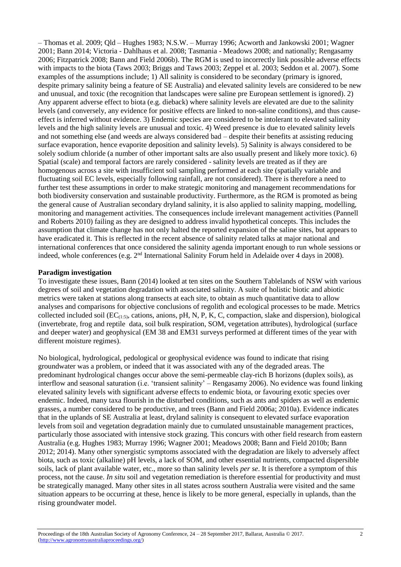– Thomas et al. 2009; Qld – Hughes 1983; N.S.W. – Murray 1996; Acworth and Jankowski 2001; Wagner 2001; Bann 2014; Victoria - Dahlhaus et al. 2008; Tasmania - Meadows 2008; and nationally; Rengasamy 2006; Fitzpatrick 2008; Bann and Field 2006b). The RGM is used to incorrectly link possible adverse effects with impacts to the biota (Taws 2003; Briggs and Taws 2003; Zeppel et al. 2003; Seddon et al. 2007). Some examples of the assumptions include; 1) All salinity is considered to be secondary (primary is ignored, despite primary salinity being a feature of SE Australia) and elevated salinity levels are considered to be new and unusual, and toxic (the recognition that landscapes were saline pre European settlement is ignored). 2) Any apparent adverse effect to biota (e.g. dieback) where salinity levels are elevated are due to the salinity levels (and conversely, any evidence for positive effects are linked to non-saline conditions), and thus causeeffect is inferred without evidence. 3) Endemic species are considered to be intolerant to elevated salinity levels and the high salinity levels are unusual and toxic. 4) Weed presence is due to elevated salinity levels and not something else (and weeds are always considered bad – despite their benefits at assisting reducing surface evaporation, hence evaporite deposition and salinity levels). 5) Salinity is always considered to be solely sodium chloride (a number of other important salts are also usually present and likely more toxic). 6) Spatial (scale) and temporal factors are rarely considered - salinity levels are treated as if they are homogenous across a site with insufficient soil sampling performed at each site (spatially variable and fluctuating soil EC levels, especially following rainfall, are not considered). There is therefore a need to further test these assumptions in order to make strategic monitoring and management recommendations for both biodiversity conservation and sustainable productivity. Furthermore, as the RGM is promoted as being the general cause of Australian secondary dryland salinity, it is also applied to salinity mapping, modelling, monitoring and management activities. The consequences include irrelevant management activities (Pannell and Roberts 2010) failing as they are designed to address invalid hypothetical concepts. This includes the assumption that climate change has not only halted the reported expansion of the saline sites, but appears to have eradicated it. This is reflected in the recent absence of salinity related talks at major national and international conferences that once considered the salinity agenda important enough to run whole sessions or indeed, whole conferences (e.g.  $2<sup>nd</sup>$  International Salinity Forum held in Adelaide over 4 days in 2008).

#### **Paradigm investigation**

To investigate these issues, Bann (2014) looked at ten sites on the Southern Tablelands of NSW with various degrees of soil and vegetation degradation with associated salinity. A suite of holistic biotic and abiotic metrics were taken at stations along transects at each site, to obtain as much quantitative data to allow analyses and comparisons for objective conclusions of regolith and ecological processes to be made. Metrics collected included soil ( $EC_{(1:5)}$ , cations, anions, pH, N, P, K, C, compaction, slake and dispersion), biological (invertebrate, frog and reptile data, soil bulk respiration, SOM, vegetation attributes), hydrological (surface and deeper water) and geophysical (EM 38 and EM31 surveys performed at different times of the year with different moisture regimes).

No biological, hydrological, pedological or geophysical evidence was found to indicate that rising groundwater was a problem, or indeed that it was associated with any of the degraded areas. The predominant hydrological changes occur above the semi-permeable clay-rich B horizons (duplex soils), as interflow and seasonal saturation (i.e. 'transient salinity' – Rengasamy 2006). No evidence was found linking elevated salinity levels with significant adverse effects to endemic biota, or favouring exotic species over endemic. Indeed, many taxa flourish in the disturbed conditions, such as ants and spiders as well as endemic grasses, a number considered to be productive, and trees (Bann and Field 2006a; 2010a). Evidence indicates that in the uplands of SE Australia at least, dryland salinity is consequent to elevated surface evaporation levels from soil and vegetation degradation mainly due to cumulated unsustainable management practices, particularly those associated with intensive stock grazing. This concurs with other field research from eastern Australia (e.g. Hughes 1983; Murray 1996; Wagner 2001; Meadows 2008; Bann and Field 2010b; Bann 2012; 2014). Many other synergistic symptoms associated with the degradation are likely to adversely affect biota, such as toxic (alkaline) pH levels, a lack of SOM, and other essential nutrients, compacted dispersible soils, lack of plant available water, etc., more so than salinity levels *per se*. It is therefore a symptom of this process, not the cause. *In situ* soil and vegetation remediation is therefore essential for productivity and must be strategically managed. Many other sites in all states across southern Australia were visited and the same situation appears to be occurring at these, hence is likely to be more general, especially in uplands, than the rising groundwater model.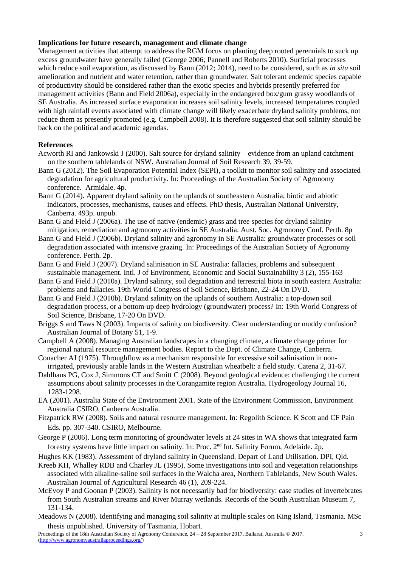## **Implications for future research, management and climate change**

Management activities that attempt to address the RGM focus on planting deep rooted perennials to suck up excess groundwater have generally failed (George 2006; Pannell and Roberts 2010). Surficial processes which reduce soil evaporation, as discussed by Bann (2012; 2014), need to be considered, such as *in situ* soil amelioration and nutrient and water retention, rather than groundwater. Salt tolerant endemic species capable of productivity should be considered rather than the exotic species and hybrids presently preferred for management activities (Bann and Field 2006a), especially in the endangered box/gum grassy woodlands of SE Australia. As increased surface evaporation increases soil salinity levels, increased temperatures coupled with high rainfall events associated with climate change will likely exacerbate dryland salinity problems, not reduce them as presently promoted (e.g. Campbell 2008). It is therefore suggested that soil salinity should be back on the political and academic agendas.

## **References**

- Acworth RI and Jankowski J (2000). Salt source for dryland salinity evidence from an upland catchment on the southern tablelands of NSW. Australian Journal of Soil Research 39, 39-59.
- Bann G (2012). The Soil Evaporation Potential Index (SEPI), a toolkit to monitor soil salinity and associated degradation for agricultural productivity. In: Proceedings of the Australian Society of Agronomy conference. Armidale. 4p.
- Bann G (2014). Apparent dryland salinity on the uplands of southeastern Australia; biotic and abiotic indicators, processes, mechanisms, causes and effects. PhD thesis, Australian National University, Canberra. 493p. unpub.
- Bann G and Field J (2006a). The use of native (endemic) grass and tree species for dryland salinity mitigation, remediation and agronomy activities in SE Australia. Aust. Soc. Agronomy Conf. Perth. 8p
- Bann G and Field J (2006b). Dryland salinity and agronomy in SE Australia: groundwater processes or soil degradation associated with intensive grazing. In: Proceedings of the Australian Society of Agronomy conference. Perth. 2p.
- Bann G and Field J (2007). Dryland salinisation in SE Australia: fallacies, problems and subsequent sustainable management. Intl. J of Environment, Economic and Social Sustainability 3 (2), 155-163
- Bann G and Field J (2010a). Dryland salinity, soil degradation and terrestrial biota in south eastern Australia: problems and fallacies. 19th World Congress of Soil Science, Brisbane, 22-24 On DVD.
- Bann G and Field J (2010b). Dryland salinity on the uplands of southern Australia: a top-down soil degradation process, or a bottom-up deep hydrology (groundwater) process? In: 19th World Congress of Soil Science, Brisbane, 17-20 On DVD.
- Briggs S and Taws N (2003). Impacts of salinity on biodiversity. Clear understanding or muddy confusion? Australian Journal of Botany 51, 1-9.
- Campbell A (2008). Managing Australian landscapes in a changing climate, a climate change primer for regional natural resource management bodies. Report to the Dept. of Climate Change, Canberra.
- Conacher AJ (1975). Throughflow as a mechanism responsible for excessive soil salinisation in nonirrigated, previously arable lands in the Western Australian wheatbelt: a field study. Catena 2, 31-67.
- Dahlhaus PG, Cox J, Simmons CT and Smitt C (2008). Beyond geological evidence: challenging the current assumptions about salinity processes in the Corangamite region Australia. Hydrogeology Journal 16, 1283-1298.
- EA (2001). Australia State of the Environment 2001. State of the Environment Commission, Environment Australia CSIRO, Canberra Australia.
- Fitzpatrick RW (2008). Soils and natural resource management. In: Regolith Science. K Scott and CF Pain Eds. pp. 307-340. CSIRO, Melbourne.
- George P (2006). Long term monitoring of groundwater levels at 24 sites in WA shows that integrated farm forestry systems have little impact on salinity. In: Proc. 2nd Int. Salinity Forum, Adelaide. 2p.
- Hughes KK (1983). Assessment of dryland salinity in Queensland. Depart of Land Utilisation. DPI, Qld.
- Kreeb KH, Whalley RDB and Charley JL (1995). Some investigations into soil and vegetation relationships associated with alkaline-saline soil surfaces in the Walcha area, Northern Tablelands, New South Wales. Australian Journal of Agricultural Research 46 (1), 209-224.
- McEvoy P and Goonan P (2003). Salinity is not necessarily bad for biodiversity: case studies of invertebrates from South Australian streams and River Murray wetlands. Records of the South Australian Museum 7, 131-134.
- Meadows N (2008). Identifying and managing soil salinity at multiple scales on King Island, Tasmania. MSc thesis unpublished. University of Tasmania, Hobart.